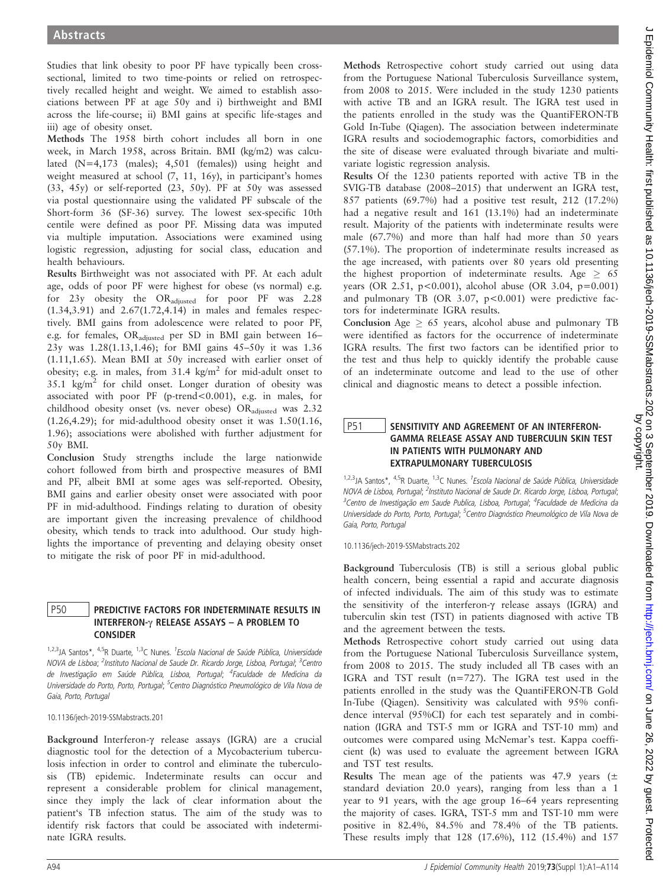Studies that link obesity to poor PF have typically been crosssectional, limited to two time-points or relied on retrospectively recalled height and weight. We aimed to establish associations between PF at age 50y and i) birthweight and BMI across the life-course; ii) BMI gains at specific life-stages and iii) age of obesity onset.

Methods The 1958 birth cohort includes all born in one week, in March 1958, across Britain. BMI (kg/m2) was calculated (N=4,173 (males); 4,501 (females)) using height and weight measured at school (7, 11, 16y), in participant's homes (33, 45y) or self-reported (23, 50y). PF at 50y was assessed via postal questionnaire using the validated PF subscale of the Short-form 36 (SF-36) survey. The lowest sex-specific 10th centile were defined as poor PF. Missing data was imputed via multiple imputation. Associations were examined using logistic regression, adjusting for social class, education and health behaviours.

Results Birthweight was not associated with PF. At each adult age, odds of poor PF were highest for obese (vs normal) e.g. for 23y obesity the ORadjusted for poor PF was 2.28 (1.34,3.91) and 2.67(1.72,4.14) in males and females respectively. BMI gains from adolescence were related to poor PF, e.g. for females, ORadjusted per SD in BMI gain between 16– 23y was 1.28(1.13,1.46); for BMI gains 45–50y it was 1.36 (1.11,1.65). Mean BMI at 50y increased with earlier onset of obesity; e.g. in males, from 31.4 kg/m<sup>2</sup> for mid-adult onset to  $35.1 \text{ kg/m}^2$  for child onset. Longer duration of obesity was associated with poor PF (p-trend<0.001), e.g. in males, for childhood obesity onset (vs. never obese) ORadjusted was 2.32 (1.26,4.29); for mid-adulthood obesity onset it was 1.50(1.16, 1.96); associations were abolished with further adjustment for 50y BMI.

Conclusion Study strengths include the large nationwide cohort followed from birth and prospective measures of BMI and PF, albeit BMI at some ages was self-reported. Obesity, BMI gains and earlier obesity onset were associated with poor PF in mid-adulthood. Findings relating to duration of obesity are important given the increasing prevalence of childhood obesity, which tends to track into adulthood. Our study highlights the importance of preventing and delaying obesity onset to mitigate the risk of poor PF in mid-adulthood.

## P50 PREDICTIVE FACTORS FOR INDETERMINATE RESULTS IN INTERFERON- $\gamma$  RELEASE ASSAYS – A PROBLEM TO CONSIDER

<sup>1,2,3</sup>JA Santos\*, <sup>4,5</sup>R Duarte, <sup>1,3</sup>C Nunes. <sup>1</sup>Escola Nacional de Saúde Pública, Universidade NOVA de Lisboa; <sup>2</sup>Instituto Nacional de Saude Dr. Ricardo Jorge, Lisboa, Portugal; <sup>3</sup>Centro de Investigação em Saúde Pública, Lisboa, Portugal; <sup>4</sup>Faculdade de Medicina da Universidade do Porto, Porto, Portugal; <sup>5</sup>Centro Diagnóstico Pneumológico de Vila Nova de Gaia, Porto, Portugal

10.1136/jech-2019-SSMabstracts.201

Background Interferon-g release assays (IGRA) are a crucial diagnostic tool for the detection of a Mycobacterium tuberculosis infection in order to control and eliminate the tuberculosis (TB) epidemic. Indeterminate results can occur and represent a considerable problem for clinical management, since they imply the lack of clear information about the patient's TB infection status. The aim of the study was to identify risk factors that could be associated with indeterminate IGRA results.

Methods Retrospective cohort study carried out using data from the Portuguese National Tuberculosis Surveillance system, from 2008 to 2015. Were included in the study 1230 patients with active TB and an IGRA result. The IGRA test used in the patients enrolled in the study was the QuantiFERON-TB Gold In-Tube (Qiagen). The association between indeterminate IGRA results and sociodemographic factors, comorbidities and the site of disease were evaluated through bivariate and multivariate logistic regression analysis.

Results Of the 1230 patients reported with active TB in the SVIG-TB database (2008–2015) that underwent an IGRA test, 857 patients (69.7%) had a positive test result, 212 (17.2%) had a negative result and 161 (13.1%) had an indeterminate result. Majority of the patients with indeterminate results were male (67.7%) and more than half had more than 50 years (57.1%). The proportion of indeterminate results increased as the age increased, with patients over 80 years old presenting the highest proportion of indeterminate results. Age  $\geq 65$ years (OR 2.51,  $p < 0.001$ ), alcohol abuse (OR 3.04,  $p = 0.001$ ) and pulmonary TB (OR 3.07,  $p < 0.001$ ) were predictive factors for indeterminate IGRA results.

Conclusion Age  $\geq 65$  years, alcohol abuse and pulmonary TB were identified as factors for the occurrence of indeterminate IGRA results. The first two factors can be identified prior to the test and thus help to quickly identify the probable cause of an indeterminate outcome and lead to the use of other clinical and diagnostic means to detect a possible infection.

## P51 SENSITIVITY AND AGREEMENT OF AN INTERFERON-GAMMA RELEASE ASSAY AND TUBERCULIN SKIN TEST IN PATIENTS WITH PULMONARY AND EXTRAPULMONARY TUBERCULOSIS

<sup>1,2,3</sup>JA Santos\*, <sup>4,5</sup>R Duarte, <sup>1,3</sup>C Nunes. <sup>1</sup>Escola Nacional de Saúde Pública, Universidade NOVA de Lisboa, Portugal; <sup>2</sup>Instituto Nacional de Saude Dr. Ricardo Jorge, Lisboa, Portugal; <sup>3</sup>Centro de Investigação em Saude Publica, Lisboa, Portugal; <sup>4</sup>Faculdade de Medicina da Universidade do Porto, Porto, Portugal; <sup>5</sup>Centro Diagnóstico Pneumológico de Vila Nova de Gaia, Porto, Portugal

10.1136/jech-2019-SSMabstracts.202

Background Tuberculosis (TB) is still a serious global public health concern, being essential a rapid and accurate diagnosis of infected individuals. The aim of this study was to estimate the sensitivity of the interferon- $\gamma$  release assays (IGRA) and tuberculin skin test (TST) in patients diagnosed with active TB and the agreement between the tests.

Methods Retrospective cohort study carried out using data from the Portuguese National Tuberculosis Surveillance system, from 2008 to 2015. The study included all TB cases with an IGRA and TST result (n=727). The IGRA test used in the patients enrolled in the study was the QuantiFERON-TB Gold In-Tube (Qiagen). Sensitivity was calculated with 95% confidence interval (95%CI) for each test separately and in combination (IGRA and TST-5 mm or IGRA and TST-10 mm) and outcomes were compared using McNemar's test. Kappa coefficient (k) was used to evaluate the agreement between IGRA and TST test results.

Results The mean age of the patients was 47.9 years ( $\pm$ standard deviation 20.0 years), ranging from less than a 1 year to 91 years, with the age group 16–64 years representing the majority of cases. IGRA, TST-5 mm and TST-10 mm were positive in 82.4%, 84.5% and 78.4% of the TB patients. These results imply that 128 (17.6%), 112 (15.4%) and 157